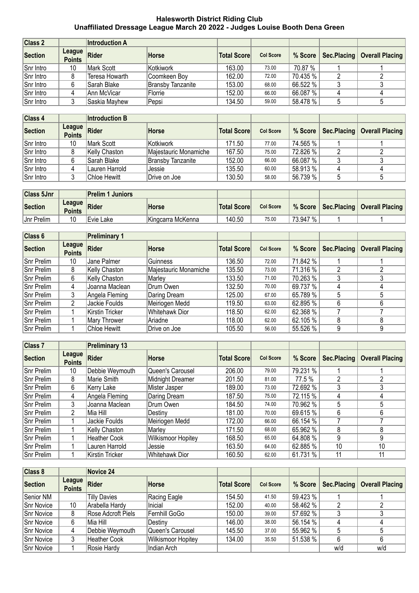## **Halesworth District Riding Club Unaffiliated Dressage League March 20 2022 - Judges Louise Booth Dena Green**

| Class 2   |                             | <b>Introduction A</b> |                          |                    |                  |          |                                         |
|-----------|-----------------------------|-----------------------|--------------------------|--------------------|------------------|----------|-----------------------------------------|
| Section   | League $ $<br><b>Points</b> | Rider                 | Horse                    | <b>Total Score</b> | <b>Col Score</b> |          | % Score   Sec.Placing   Overall Placing |
| Snr Intro | 10                          | Mark Scott            | Kotkiwork                | 163.00             | 73.00            | 70.87 %  |                                         |
| Snr Intro |                             | Teresa Howarth        | Coomkeen Boy             | 162.00             | 72.00            | 70.435 % |                                         |
| Snr Intro | 6                           | Sarah Blake           | <b>Bransby Tanzanite</b> | 153.00             | 68.00            | 66.522 % |                                         |
| Snr Intro |                             | Ann McVicar           | Florrie                  | 152.00             | 66.00            | 66.087 % |                                         |
| Snr Intro |                             | Saskia Mayhew         | Pepsi                    | 134.50             | 59.00            | 58.478 % |                                         |

| Class 4   |                                | <b>Introduction B</b> |                       |                    |                  |          |                                          |
|-----------|--------------------------------|-----------------------|-----------------------|--------------------|------------------|----------|------------------------------------------|
| Section   | <b>League</b><br><b>Points</b> | Rider                 | <b>Horse</b>          | <b>Total Score</b> | <b>Col Score</b> |          | % Score   Sec. Placing   Overall Placing |
| Snr Intro | 10                             | Mark Scott            | Kotkiwork             | 171.50             | 77.00            | 74.565 % |                                          |
| Snr Intro |                                | Kelly Chaston         | Majestauric Monamiche | 167.50             | 75.00            | 72.826 % |                                          |
| Snr Intro | 6                              | Sarah Blake           | Bransby Tanzanite     | 152.00             | 66.00            | 66.087%  |                                          |
| Snr Intro |                                | Lauren Harrold        | Jessie                | 135.50             | 60.00            | 58.913 % |                                          |
| Snr Intro |                                | Chloe Hewitt          | Drive on Joe          | 130.50             | 58.00            | 56.739 % |                                          |

| <b>Class 5Jnr</b> |               | Prelim 1 Juniors    |                   |                    |                  |              |                                             |
|-------------------|---------------|---------------------|-------------------|--------------------|------------------|--------------|---------------------------------------------|
| Section           | <b>Points</b> | <b>Exague Rider</b> | <b>Horse</b>      | <b>Total Score</b> | <b>Col Score</b> |              | │ % Score │ Sec.Placing │ Overall Placing │ |
| <b>Jnr Prelim</b> |               | Evie Lake           | Kingcarra McKenna | 140.50             | 75.00            | $73.947\%$ . |                                             |

| Class 6    |                         | <b>Preliminary 1</b> |                       |                    |                  |          |             |                        |
|------------|-------------------------|----------------------|-----------------------|--------------------|------------------|----------|-------------|------------------------|
| Section    | League<br><b>Points</b> | <b>Rider</b>         | Horse                 | <b>Total Score</b> | <b>Col Score</b> | % Score  | Sec.Placing | <b>Overall Placing</b> |
| Snr Prelim | 10                      | Jane Palmer          | <b>Guinness</b>       | 136.50             | 72.00            | 71.842 % |             |                        |
| Snr Prelim | 8                       | Kelly Chaston        | Majestauric Monamiche | 135.50             | 73.00            | 71.316 % |             |                        |
| Snr Prelim | 6                       | Kelly Chaston        | Marley                | 133.50             | 71.00            | 70.263 % |             |                        |
| Snr Prelim | 4                       | Joanna Maclean       | Drum Owen             | 132.50             | 70.00            | 69.737 % |             | 4                      |
| Snr Prelim | 3                       | Angela Fleming       | Daring Dream          | 125.00             | 67.00            | 65.789 % | 5           | 5                      |
| Snr Prelim | 2                       | Jackie Foulds        | Meiriogen Medd        | 119.50             | 63.00            | 62.895 % | 6           | 6                      |
| Snr Prelim |                         | Kirstin Tricker      | <b>Whitehawk Dior</b> | 118.50             | 62.00            | 62.368 % |             |                        |
| Snr Prelim |                         | Mary Thrower         | Ariadne               | 118.00             | 62.00            | 62.105 % | 8           | 8                      |
| Snr Prelim |                         | <b>Chloe Hewitt</b>  | Drive on Joe          | 105.50             | 56.00            | 55.526 % | 9           | 9                      |

| Class <sub>7</sub> |                         | <b>Preliminary 13</b> |                           |                    |                  |          |             |                        |
|--------------------|-------------------------|-----------------------|---------------------------|--------------------|------------------|----------|-------------|------------------------|
| Section            | League<br><b>Points</b> | <b>Rider</b>          | <b>Horse</b>              | <b>Total Score</b> | <b>Col Score</b> | % Score  | Sec.Placing | <b>Overall Placing</b> |
| Snr Prelim         | 10                      | Debbie Weymouth       | Queen's Carousel          | 206.00             | 79.00            | 79.231 % |             |                        |
| Snr Prelim         | 8                       | Marie Smith           | Midnight Dreamer          | 201.50             | 81.00            | 77.5 %   | n           | ŋ.                     |
| Snr Prelim         | 6                       | Kerry Lake            | Mister Jasper             | 189.00             | 73.00            | 72.692 % |             | 3                      |
| <b>Snr Prelim</b>  | 4                       | Angela Fleming        | Daring Dream              | 187.50             | 75.00            | 72.115 % | 4           | 4                      |
| <b>Snr Prelim</b>  | 3                       | Joanna Maclean        | Drum Owen                 | 184.50             | 74.00            | 70.962 % | 5           | 5                      |
| Snr Prelim         | 2                       | Mia Hill              | Destiny                   | 181.00             | 70.00            | 69.615 % | 6           | 6                      |
| Snr Prelim         |                         | Jackie Foulds         | Meiriogen Medd            | 172.00             | 66.00            | 66.154 % |             |                        |
| Snr Prelim         |                         | Kelly Chaston         | Marley                    | 171.50             | 68.00            | 65.962 % | 8           | 8                      |
| Snr Prelim         |                         | <b>Heather Cook</b>   | <b>Wilkismoor Hopitey</b> | 168.50             | 65.00            | 64.808 % | 9           | 9                      |
| Snr Prelim         |                         | Lauren Harrold        | Jessie                    | 163.50             | 64.00            | 62.885 % | 10          | 10                     |
| Snr Prelim         |                         | Kirstin Tricker       | Whitehawk Dior            | 160.50             | 62.00            | 61.731 % | 11          | 11                     |

| Class 8           |                         | Novice 24           |                    |                    |                  |          |             |                        |
|-------------------|-------------------------|---------------------|--------------------|--------------------|------------------|----------|-------------|------------------------|
| Section           | League<br><b>Points</b> | Rider               | <b>Horse</b>       | <b>Total Score</b> | <b>Col Score</b> | % Score  | Sec.Placing | <b>Overall Placing</b> |
| Senior NM         |                         | <b>Tilly Davies</b> | Racing Eagle       | 154.50             | 41.50            | 59.423 % |             |                        |
| Snr Novice        | 10                      | Arabella Hardy      | Inicial            | 152.00             | 40.00            | 58.462 % | ົ           |                        |
| Snr Novice        | 8                       | Rose Adcroft Piels  | Fernhill GoGo      | 150.00             | 39.00            | 57.692 % |             |                        |
| Snr Novice        | 6                       | Mia Hill            | Destiny            | 146.00             | 38.00            | 56.154 % |             |                        |
| Snr Novice        | 4                       | Debbie Weymouth     | Queen's Carousel   | 145.50             | 37.00            | 55.962 % |             |                        |
| <b>Snr Novice</b> |                         | <b>Heather Cook</b> | Wilkismoor Hopitey | 134.00             | 35.50            | 51.538 % | 6           |                        |
| Snr Novice        |                         | Rosie Hardy         | Indian Arch        |                    |                  |          | w/d         | w/d                    |